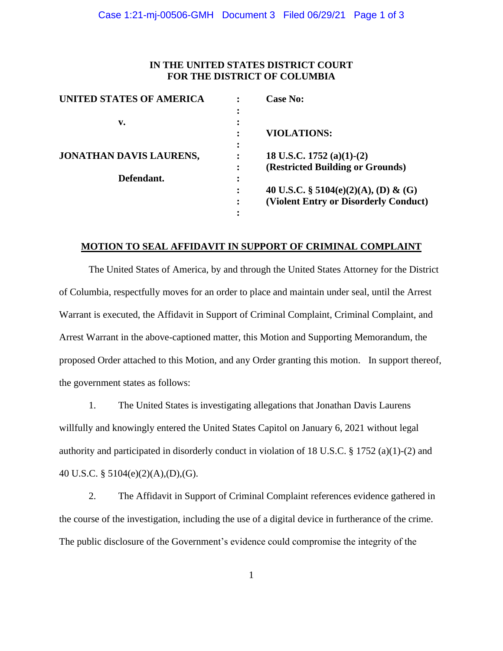## **IN THE UNITED STATES DISTRICT COURT FOR THE DISTRICT OF COLUMBIA**

| UNITED STATES OF AMERICA |   | <b>Case No:</b>                       |
|--------------------------|---|---------------------------------------|
|                          |   |                                       |
| v.                       |   |                                       |
|                          |   | <b>VIOLATIONS:</b>                    |
|                          | ٠ |                                       |
| JONATHAN DAVIS LAURENS,  |   | 18 U.S.C. 1752 (a)(1)-(2)             |
|                          |   | (Restricted Building or Grounds)      |
| Defendant.               |   |                                       |
|                          |   | 40 U.S.C. § 5104(e)(2)(A), (D) & (G)  |
|                          |   | (Violent Entry or Disorderly Conduct) |
|                          |   |                                       |

### **MOTION TO SEAL AFFIDAVIT IN SUPPORT OF CRIMINAL COMPLAINT**

The United States of America, by and through the United States Attorney for the District of Columbia, respectfully moves for an order to place and maintain under seal, until the Arrest Warrant is executed, the Affidavit in Support of Criminal Complaint, Criminal Complaint, and Arrest Warrant in the above-captioned matter, this Motion and Supporting Memorandum, the proposed Order attached to this Motion, and any Order granting this motion. In support thereof, the government states as follows:

1. The United States is investigating allegations that Jonathan Davis Laurens willfully and knowingly entered the United States Capitol on January 6, 2021 without legal authority and participated in disorderly conduct in violation of 18 U.S.C. § 1752 (a)(1)-(2) and 40 U.S.C. § 5104(e)(2)(A),(D),(G).

2. The Affidavit in Support of Criminal Complaint references evidence gathered in the course of the investigation, including the use of a digital device in furtherance of the crime. The public disclosure of the Government's evidence could compromise the integrity of the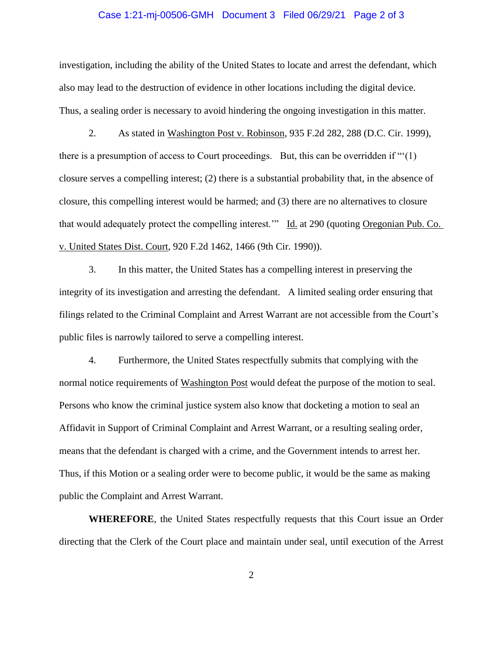### Case 1:21-mj-00506-GMH Document 3 Filed 06/29/21 Page 2 of 3

investigation, including the ability of the United States to locate and arrest the defendant, which also may lead to the destruction of evidence in other locations including the digital device. Thus, a sealing order is necessary to avoid hindering the ongoing investigation in this matter.

2. As stated in Washington Post v. Robinson, 935 F.2d 282, 288 (D.C. Cir. 1999), there is a presumption of access to Court proceedings. But, this can be overridden if "'(1) closure serves a compelling interest; (2) there is a substantial probability that, in the absence of closure, this compelling interest would be harmed; and (3) there are no alternatives to closure that would adequately protect the compelling interest." Id. at 290 (quoting Oregonian Pub. Co. v. United States Dist. Court, 920 F.2d 1462, 1466 (9th Cir. 1990)).

3. In this matter, the United States has a compelling interest in preserving the integrity of its investigation and arresting the defendant. A limited sealing order ensuring that filings related to the Criminal Complaint and Arrest Warrant are not accessible from the Court's public files is narrowly tailored to serve a compelling interest.

4. Furthermore, the United States respectfully submits that complying with the normal notice requirements of Washington Post would defeat the purpose of the motion to seal. Persons who know the criminal justice system also know that docketing a motion to seal an Affidavit in Support of Criminal Complaint and Arrest Warrant, or a resulting sealing order, means that the defendant is charged with a crime, and the Government intends to arrest her. Thus, if this Motion or a sealing order were to become public, it would be the same as making public the Complaint and Arrest Warrant.

**WHEREFORE**, the United States respectfully requests that this Court issue an Order directing that the Clerk of the Court place and maintain under seal, until execution of the Arrest

2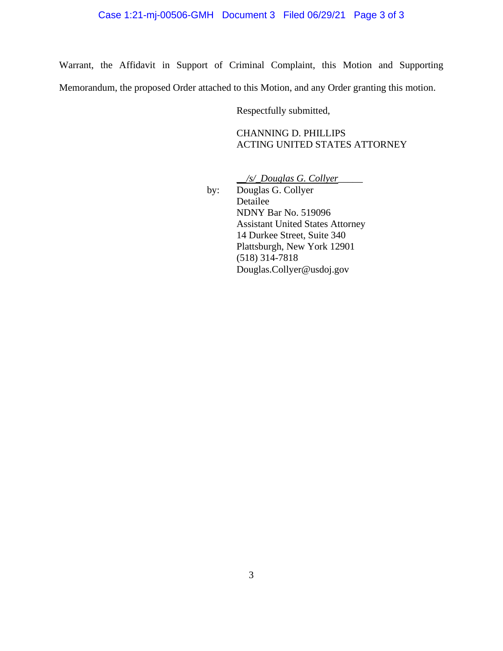# Case 1:21-mj-00506-GMH Document 3 Filed 06/29/21 Page 3 of 3

Warrant, the Affidavit in Support of Criminal Complaint, this Motion and Supporting Memorandum, the proposed Order attached to this Motion, and any Order granting this motion.

Respectfully submitted,

CHANNING D. PHILLIPS ACTING UNITED STATES ATTORNEY

*\_\_/s/\_Douglas G. Collyer*\_\_\_\_\_

by: Douglas G. Collyer Detailee NDNY Bar No. 519096 Assistant United States Attorney 14 Durkee Street, Suite 340 Plattsburgh, New York 12901 (518) 314-7818 Douglas.Collyer@usdoj.gov